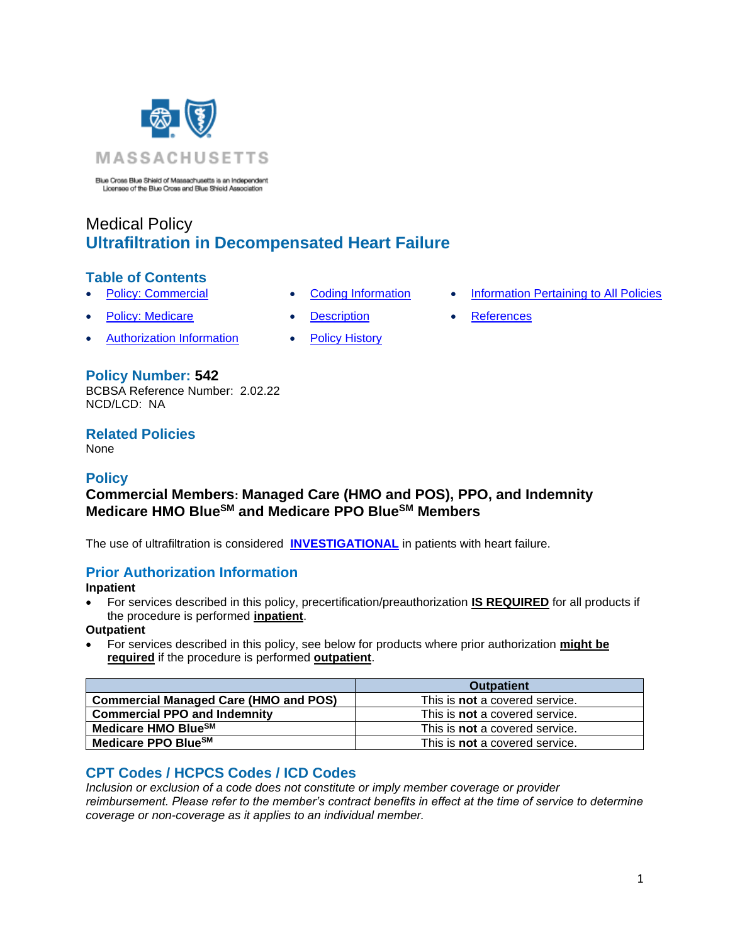

Blue Cross Blue Shield of Massachusetts is an Independent Licensee of the Blue Cross and Blue Shield Association

# Medical Policy **Ultrafiltration in Decompensated Heart Failure**

### **Table of Contents**

- 
- **[Policy: Medicare](#page-0-0) [Description](#page-1-0) [References](#page-2-1)**
- [Authorization Information](#page-0-2) [Policy History](#page-2-2)
- 
- -
- **[Policy: Commercial](#page-0-0) [Coding Information](#page-0-1) [Information Pertaining to All Policies](#page-2-0)** 
	-

### **Policy Number: 542**

BCBSA Reference Number: 2.02.22 NCD/LCD: NA

# **Related Policies**

<span id="page-0-0"></span>None

# **Policy**

# **Commercial Members: Managed Care (HMO and POS), PPO, and Indemnity Medicare HMO BlueSM and Medicare PPO BlueSM Members**

The use of ultrafiltration is considered **[INVESTIGATIONAL](https://www.bluecrossma.org/medical-policies/sites/g/files/csphws2091/files/acquiadam-assets/Definition%20of%20Med%20Nec%20Inv%20Not%20Med%20Nec%20prn.pdf#page=1)** in patients with heart failure.

# <span id="page-0-2"></span>**Prior Authorization Information**

**Inpatient**

• For services described in this policy, precertification/preauthorization **IS REQUIRED** for all products if the procedure is performed **inpatient**.

**Outpatient**

• For services described in this policy, see below for products where prior authorization **might be required** if the procedure is performed **outpatient**.

|                                              | <b>Outpatient</b>                     |
|----------------------------------------------|---------------------------------------|
| <b>Commercial Managed Care (HMO and POS)</b> | This is <b>not</b> a covered service. |
| <b>Commercial PPO and Indemnity</b>          | This is <b>not</b> a covered service. |
| Medicare HMO BlueSM                          | This is <b>not</b> a covered service. |
| Medicare PPO Blue <sup>SM</sup>              | This is <b>not</b> a covered service. |

# <span id="page-0-1"></span>**CPT Codes / HCPCS Codes / ICD Codes**

*Inclusion or exclusion of a code does not constitute or imply member coverage or provider reimbursement. Please refer to the member's contract benefits in effect at the time of service to determine coverage or non-coverage as it applies to an individual member.*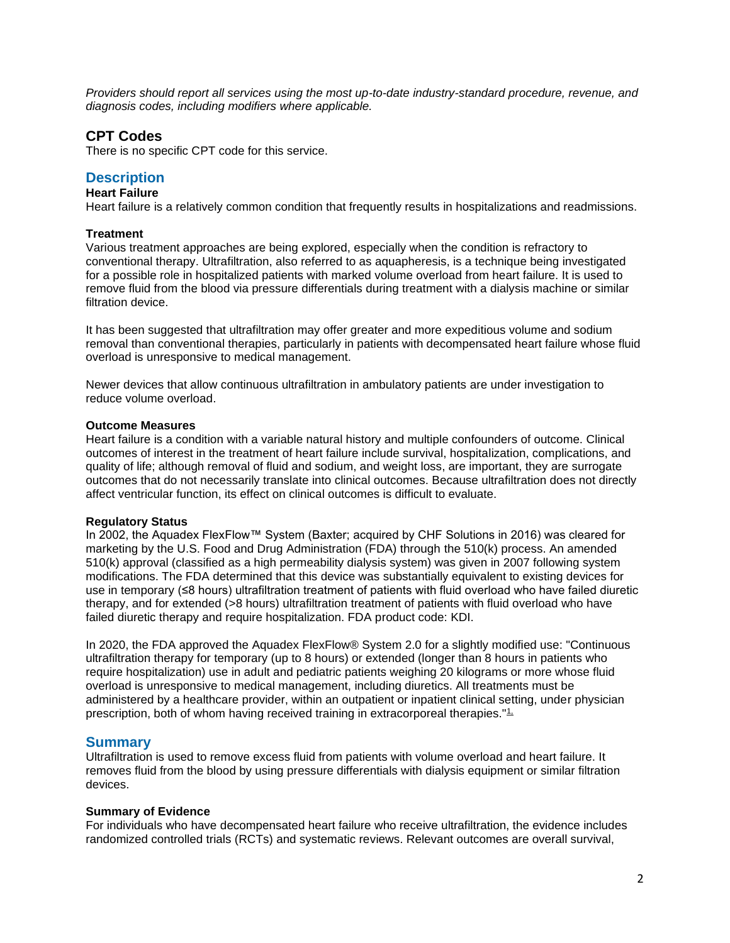*Providers should report all services using the most up-to-date industry-standard procedure, revenue, and diagnosis codes, including modifiers where applicable.*

### **CPT Codes**

There is no specific CPT code for this service.

### <span id="page-1-0"></span>**Description**

### **Heart Failure**

Heart failure is a relatively common condition that frequently results in hospitalizations and readmissions.

#### **Treatment**

Various treatment approaches are being explored, especially when the condition is refractory to conventional therapy. Ultrafiltration, also referred to as aquapheresis, is a technique being investigated for a possible role in hospitalized patients with marked volume overload from heart failure. It is used to remove fluid from the blood via pressure differentials during treatment with a dialysis machine or similar filtration device.

It has been suggested that ultrafiltration may offer greater and more expeditious volume and sodium removal than conventional therapies, particularly in patients with decompensated heart failure whose fluid overload is unresponsive to medical management.

Newer devices that allow continuous ultrafiltration in ambulatory patients are under investigation to reduce volume overload.

#### **Outcome Measures**

Heart failure is a condition with a variable natural history and multiple confounders of outcome. Clinical outcomes of interest in the treatment of heart failure include survival, hospitalization, complications, and quality of life; although removal of fluid and sodium, and weight loss, are important, they are surrogate outcomes that do not necessarily translate into clinical outcomes. Because ultrafiltration does not directly affect ventricular function, its effect on clinical outcomes is difficult to evaluate.

#### **Regulatory Status**

In 2002, the Aquadex FlexFlow™ System (Baxter; acquired by CHF Solutions in 2016) was cleared for marketing by the U.S. Food and Drug Administration (FDA) through the 510(k) process. An amended 510(k) approval (classified as a high permeability dialysis system) was given in 2007 following system modifications. The FDA determined that this device was substantially equivalent to existing devices for use in temporary (≤8 hours) ultrafiltration treatment of patients with fluid overload who have failed diuretic therapy, and for extended (>8 hours) ultrafiltration treatment of patients with fluid overload who have failed diuretic therapy and require hospitalization. FDA product code: KDI.

In 2020, the FDA approved the Aquadex FlexFlow® System 2.0 for a slightly modified use: "Continuous ultrafiltration therapy for temporary (up to 8 hours) or extended (longer than 8 hours in patients who require hospitalization) use in adult and pediatric patients weighing 20 kilograms or more whose fluid overload is unresponsive to medical management, including diuretics. All treatments must be administered by a healthcare provider, within an outpatient or inpatient clinical setting, under physician prescription, both of whom having received training in extracorporeal therapies."<sup>1</sup>,

#### **Summary**

Ultrafiltration is used to remove excess fluid from patients with volume overload and heart failure. It removes fluid from the blood by using pressure differentials with dialysis equipment or similar filtration devices.

#### **Summary of Evidence**

For individuals who have decompensated heart failure who receive ultrafiltration, the evidence includes randomized controlled trials (RCTs) and systematic reviews. Relevant outcomes are overall survival,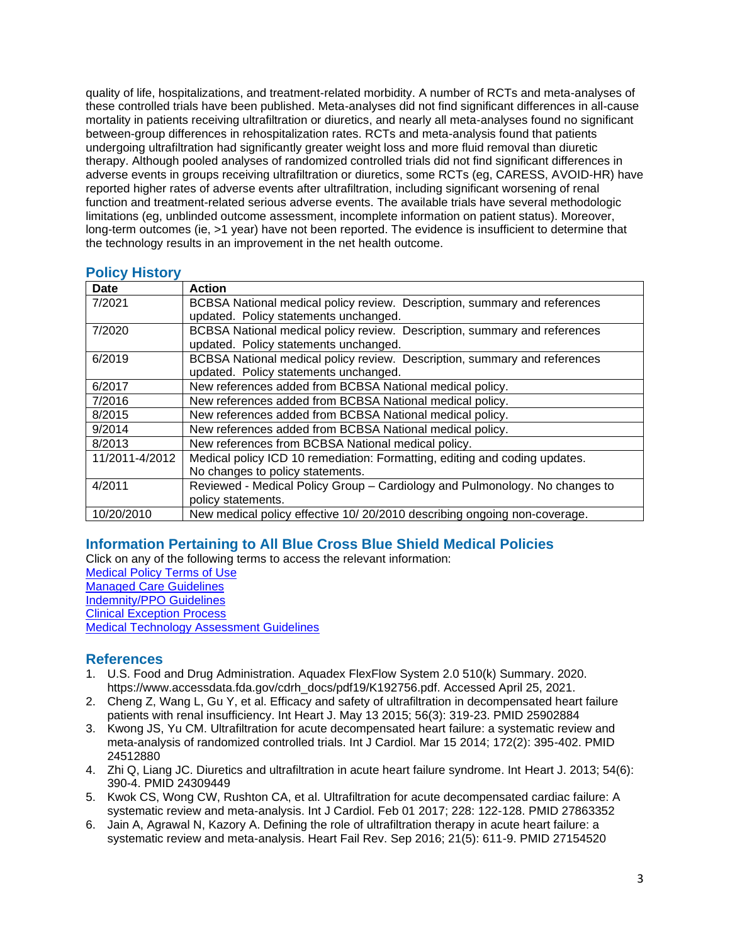quality of life, hospitalizations, and treatment-related morbidity. A number of RCTs and meta-analyses of these controlled trials have been published. Meta-analyses did not find significant differences in all-cause mortality in patients receiving ultrafiltration or diuretics, and nearly all meta-analyses found no significant between-group differences in rehospitalization rates. RCTs and meta-analysis found that patients undergoing ultrafiltration had significantly greater weight loss and more fluid removal than diuretic therapy. Although pooled analyses of randomized controlled trials did not find significant differences in adverse events in groups receiving ultrafiltration or diuretics, some RCTs (eg, CARESS, AVOID-HR) have reported higher rates of adverse events after ultrafiltration, including significant worsening of renal function and treatment-related serious adverse events. The available trials have several methodologic limitations (eg, unblinded outcome assessment, incomplete information on patient status). Moreover, long-term outcomes (ie, >1 year) have not been reported. The evidence is insufficient to determine that the technology results in an improvement in the net health outcome.

| Date           | <b>Action</b>                                                               |
|----------------|-----------------------------------------------------------------------------|
| 7/2021         | BCBSA National medical policy review. Description, summary and references   |
|                | updated. Policy statements unchanged.                                       |
| 7/2020         | BCBSA National medical policy review. Description, summary and references   |
|                | updated. Policy statements unchanged.                                       |
| 6/2019         | BCBSA National medical policy review. Description, summary and references   |
|                | updated. Policy statements unchanged.                                       |
| 6/2017         | New references added from BCBSA National medical policy.                    |
| 7/2016         | New references added from BCBSA National medical policy.                    |
| 8/2015         | New references added from BCBSA National medical policy.                    |
| 9/2014         | New references added from BCBSA National medical policy.                    |
| 8/2013         | New references from BCBSA National medical policy.                          |
| 11/2011-4/2012 | Medical policy ICD 10 remediation: Formatting, editing and coding updates.  |
|                | No changes to policy statements.                                            |
| 4/2011         | Reviewed - Medical Policy Group - Cardiology and Pulmonology. No changes to |
|                | policy statements.                                                          |
| 10/20/2010     | New medical policy effective 10/20/2010 describing ongoing non-coverage.    |

#### <span id="page-2-2"></span>**Policy History**

# <span id="page-2-0"></span>**Information Pertaining to All Blue Cross Blue Shield Medical Policies**

Click on any of the following terms to access the relevant information: [Medical Policy Terms of Use](http://www.bluecrossma.org/medical-policies/sites/g/files/csphws2091/files/acquiadam-assets/Medical_Policy_Terms_of_Use_prn.pdf) [Managed Care Guidelines](http://www.bluecrossma.org/medical-policies/sites/g/files/csphws2091/files/acquiadam-assets/Managed_Care_Guidelines_prn.pdf) [Indemnity/PPO Guidelines](http://www.bluecrossma.org/medical-policies/sites/g/files/csphws2091/files/acquiadam-assets/Indemnity_and_PPO_Guidelines_prn.pdf) [Clinical Exception Process](http://www.bluecrossma.org/medical-policies/sites/g/files/csphws2091/files/acquiadam-assets/Clinical_Exception_Process_prn.pdf) [Medical Technology Assessment Guidelines](http://www.bluecrossma.org/medical-policies/sites/g/files/csphws2091/files/acquiadam-assets/Medical_Technology_Assessment_Guidelines_prn.pdf)

# <span id="page-2-1"></span>**References**

- 1. U.S. Food and Drug Administration. Aquadex FlexFlow System 2.0 510(k) Summary. 2020. https://www.accessdata.fda.gov/cdrh\_docs/pdf19/K192756.pdf. Accessed April 25, 2021.
- 2. Cheng Z, Wang L, Gu Y, et al. Efficacy and safety of ultrafiltration in decompensated heart failure patients with renal insufficiency. Int Heart J. May 13 2015; 56(3): 319-23. PMID 25902884
- 3. Kwong JS, Yu CM. Ultrafiltration for acute decompensated heart failure: a systematic review and meta-analysis of randomized controlled trials. Int J Cardiol. Mar 15 2014; 172(2): 395-402. PMID 24512880
- 4. Zhi Q, Liang JC. Diuretics and ultrafiltration in acute heart failure syndrome. Int Heart J. 2013; 54(6): 390-4. PMID 24309449
- 5. Kwok CS, Wong CW, Rushton CA, et al. Ultrafiltration for acute decompensated cardiac failure: A systematic review and meta-analysis. Int J Cardiol. Feb 01 2017; 228: 122-128. PMID 27863352
- 6. Jain A, Agrawal N, Kazory A. Defining the role of ultrafiltration therapy in acute heart failure: a systematic review and meta-analysis. Heart Fail Rev. Sep 2016; 21(5): 611-9. PMID 27154520